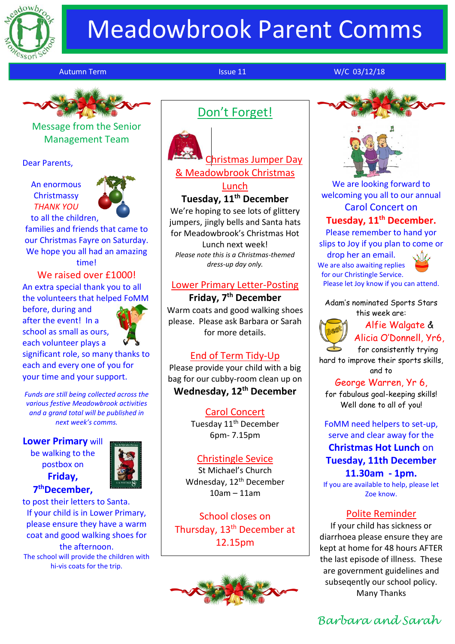

# Meadowbrook Parent Comms

Autumn Term **Issue 11** November 12 W/C 03/12/18



Message from the Senior Management Team

Dear Parents,

An enormous **Christmassy** *THANK YOU* to all the children,



families and friends that came to our Christmas Fayre on Saturday. We hope you all had an amazing time!

We raised over £1000! An extra special thank you to all the volunteers that helped FoMM

before, during and after the event! In a school as small as ours, each volunteer plays a



significant role, so many thanks to each and every one of you for your time and your support.

*Funds are still being collected across the various festive Meadowbrook activities and a grand total will be published in next week's comms.*

### **Lower Primary** will

be walking to the postbox on **Friday, 7 thDecember,**



to post their letters to Santa. If your child is in Lower Primary, please ensure they have a warm coat and good walking shoes for the afternoon. The school will provide the children with hi-vis coats for the trip.

## Don't Forget!



Christmas Jumper Day & Meadowbrook Christmas Lunch

#### **Tuesday, 11th December**

We're hoping to see lots of glittery jumpers, jingly bells and Santa hats for Meadowbrook's Christmas Hot Lunch next week! *Please note this is a Christmas-themed dress-up day only.*

#### Lower Primary Letter-Posting

**Friday, 7th December** Warm coats and good walking shoes please. Please ask Barbara or Sarah for more details.

### End of Term Tidy-Up

Please provide your child with a big bag for our cubby-room clean up on **Wednesday, 12th December**

> Carol Concert Tuesday 11<sup>th</sup> December 6pm- 7.15pm

#### Christingle Sevice

St Michael's Church Wdnesday, 12<sup>th</sup> December 10am – 11am

School closes on Thursday, 13<sup>th</sup> December at 12.15pm





We are looking forward to welcoming you all to our annual Carol Concert on **Tuesday, 11th December.**

Please remember to hand yor slips to Joy if you plan to come or

drop her an email. We are also awaiting replies for our Christingle Service. Please let Joy know if you can attend.

Adam's nominated Sports Stars this week are:



Alfie Walgate & Alicia O'Donnell, Yr6,

for consistently trying hard to improve their sports skills,

and to

George Warren, Yr 6, for fabulous goal-keeping skills! Well done to all of you!

#### FoMM need helpers to set-up, serve and clear away for the **Christmas Hot Lunch** on **Tuesday, 11th December**

**11.30am - 1pm.** If you are available to help, please let Zoe know.

#### Polite Reminder

If your child has sickness or diarrhoea please ensure they are kept at home for 48 hours AFTER the last episode of illness. These are government guidelines and subseqently our school policy. Many Thanks